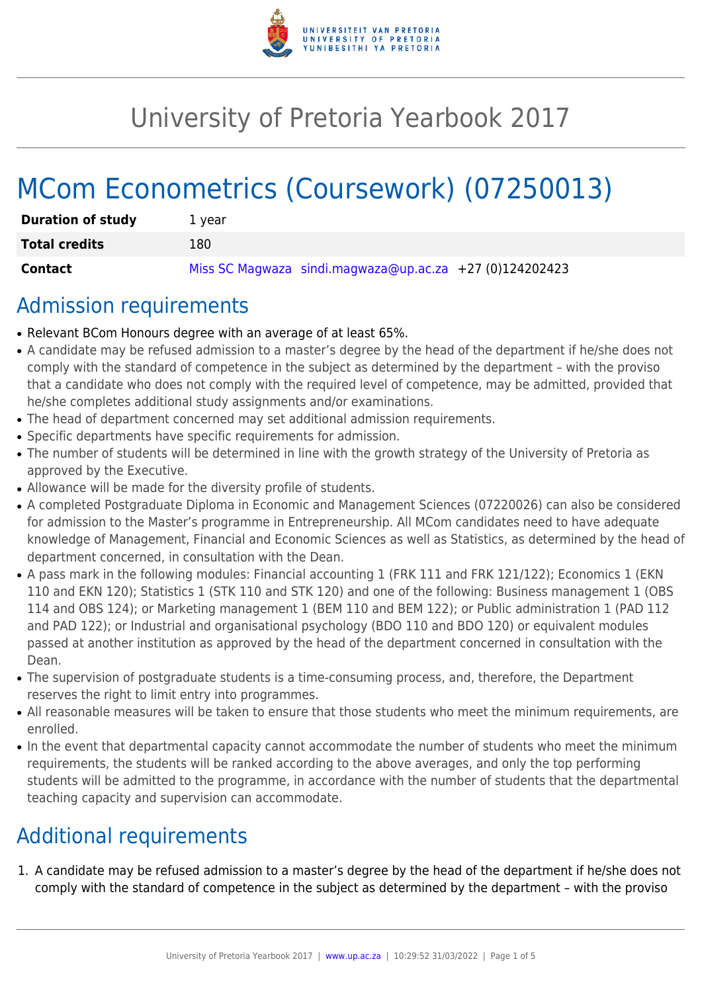

## University of Pretoria Yearbook 2017

# MCom Econometrics (Coursework) (07250013)

| <b>Duration of study</b> | 1 vear                                                  |
|--------------------------|---------------------------------------------------------|
| <b>Total credits</b>     | 180                                                     |
| Contact                  | Miss SC Magwaza sindi.magwaza@up.ac.za +27 (0)124202423 |

### Admission requirements

- Relevant BCom Honours degree with an average of at least 65%.
- A candidate may be refused admission to a master's degree by the head of the department if he/she does not comply with the standard of competence in the subject as determined by the department – with the proviso that a candidate who does not comply with the required level of competence, may be admitted, provided that he/she completes additional study assignments and/or examinations.
- The head of department concerned may set additional admission requirements.
- Specific departments have specific requirements for admission.
- The number of students will be determined in line with the growth strategy of the University of Pretoria as approved by the Executive.
- Allowance will be made for the diversity profile of students.
- A completed Postgraduate Diploma in Economic and Management Sciences (07220026) can also be considered for admission to the Master's programme in Entrepreneurship. All MCom candidates need to have adequate knowledge of Management, Financial and Economic Sciences as well as Statistics, as determined by the head of department concerned, in consultation with the Dean.
- A pass mark in the following modules: Financial accounting 1 (FRK 111 and FRK 121/122); Economics 1 (EKN 110 and EKN 120); Statistics 1 (STK 110 and STK 120) and one of the following: Business management 1 (OBS 114 and OBS 124); or Marketing management 1 (BEM 110 and BEM 122); or Public administration 1 (PAD 112 and PAD 122); or Industrial and organisational psychology (BDO 110 and BDO 120) or equivalent modules passed at another institution as approved by the head of the department concerned in consultation with the Dean.
- The supervision of postgraduate students is a time-consuming process, and, therefore, the Department reserves the right to limit entry into programmes.
- All reasonable measures will be taken to ensure that those students who meet the minimum requirements, are enrolled.
- In the event that departmental capacity cannot accommodate the number of students who meet the minimum requirements, the students will be ranked according to the above averages, and only the top performing students will be admitted to the programme, in accordance with the number of students that the departmental teaching capacity and supervision can accommodate.

### Additional requirements

1. A candidate may be refused admission to a master's degree by the head of the department if he/she does not comply with the standard of competence in the subject as determined by the department – with the proviso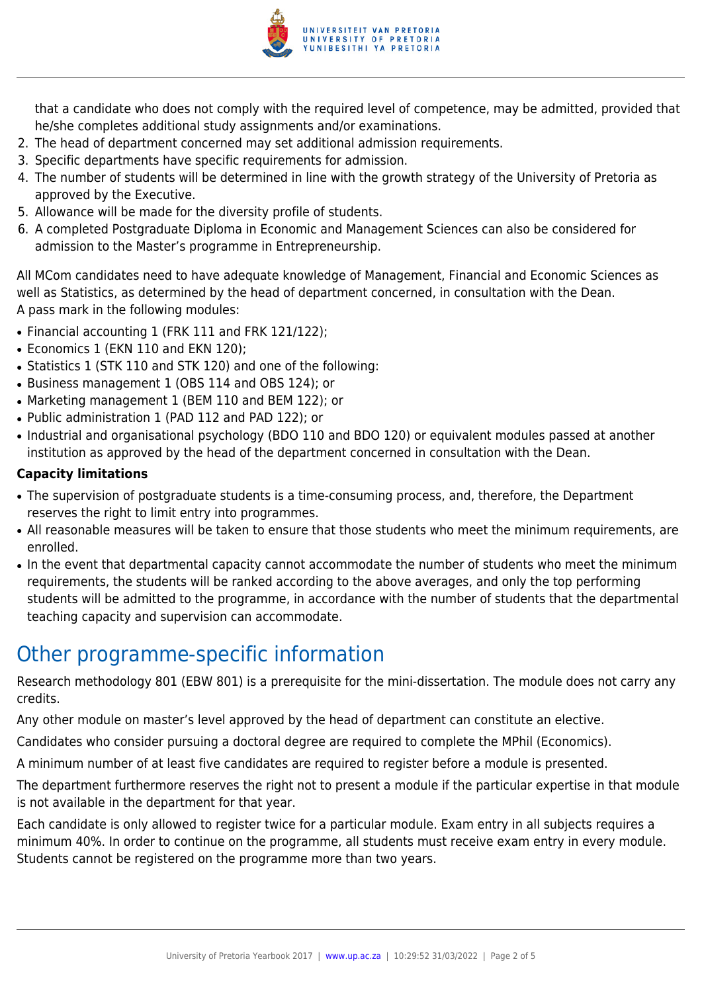

that a candidate who does not comply with the required level of competence, may be admitted, provided that he/she completes additional study assignments and/or examinations.

- 2. The head of department concerned may set additional admission requirements.
- 3. Specific departments have specific requirements for admission.
- 4. The number of students will be determined in line with the growth strategy of the University of Pretoria as approved by the Executive.
- 5. Allowance will be made for the diversity profile of students.
- 6. A completed Postgraduate Diploma in Economic and Management Sciences can also be considered for admission to the Master's programme in Entrepreneurship.

All MCom candidates need to have adequate knowledge of Management, Financial and Economic Sciences as well as Statistics, as determined by the head of department concerned, in consultation with the Dean. A pass mark in the following modules:

- Financial accounting 1 (FRK 111 and FRK 121/122);
- Economics 1 (EKN 110 and EKN 120):
- Statistics 1 (STK 110 and STK 120) and one of the following:
- Business management 1 (OBS 114 and OBS 124); or
- Marketing management 1 (BEM 110 and BEM 122); or
- Public administration 1 (PAD 112 and PAD 122); or
- Industrial and organisational psychology (BDO 110 and BDO 120) or equivalent modules passed at another institution as approved by the head of the department concerned in consultation with the Dean.

#### **Capacity limitations**

- The supervision of postgraduate students is a time-consuming process, and, therefore, the Department reserves the right to limit entry into programmes.
- All reasonable measures will be taken to ensure that those students who meet the minimum requirements, are enrolled.
- In the event that departmental capacity cannot accommodate the number of students who meet the minimum requirements, the students will be ranked according to the above averages, and only the top performing students will be admitted to the programme, in accordance with the number of students that the departmental teaching capacity and supervision can accommodate.

### Other programme-specific information

Research methodology 801 (EBW 801) is a prerequisite for the mini-dissertation. The module does not carry any credits.

Any other module on master's level approved by the head of department can constitute an elective.

Candidates who consider pursuing a doctoral degree are required to complete the MPhil (Economics).

A minimum number of at least five candidates are required to register before a module is presented.

The department furthermore reserves the right not to present a module if the particular expertise in that module is not available in the department for that year.

Each candidate is only allowed to register twice for a particular module. Exam entry in all subjects requires a minimum 40%. In order to continue on the programme, all students must receive exam entry in every module. Students cannot be registered on the programme more than two years.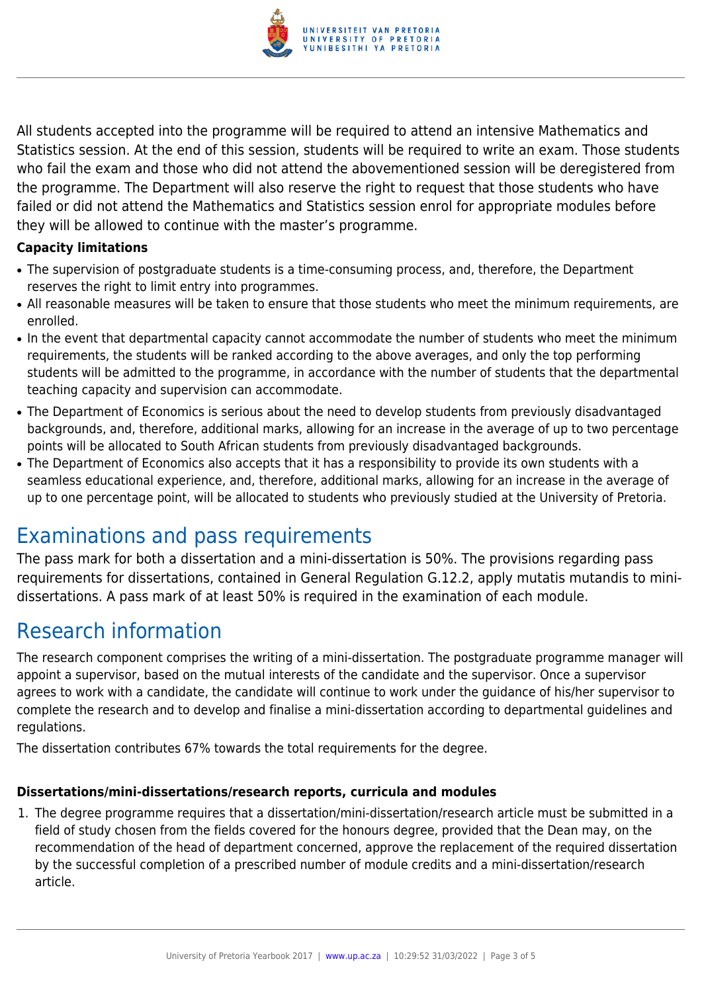

All students accepted into the programme will be required to attend an intensive Mathematics and Statistics session. At the end of this session, students will be required to write an exam. Those students who fail the exam and those who did not attend the abovementioned session will be deregistered from the programme. The Department will also reserve the right to request that those students who have failed or did not attend the Mathematics and Statistics session enrol for appropriate modules before they will be allowed to continue with the master's programme.

#### **Capacity limitations**

- The supervision of postgraduate students is a time-consuming process, and, therefore, the Department reserves the right to limit entry into programmes.
- All reasonable measures will be taken to ensure that those students who meet the minimum requirements, are enrolled.
- In the event that departmental capacity cannot accommodate the number of students who meet the minimum requirements, the students will be ranked according to the above averages, and only the top performing students will be admitted to the programme, in accordance with the number of students that the departmental teaching capacity and supervision can accommodate.
- The Department of Economics is serious about the need to develop students from previously disadvantaged backgrounds, and, therefore, additional marks, allowing for an increase in the average of up to two percentage points will be allocated to South African students from previously disadvantaged backgrounds.
- The Department of Economics also accepts that it has a responsibility to provide its own students with a seamless educational experience, and, therefore, additional marks, allowing for an increase in the average of up to one percentage point, will be allocated to students who previously studied at the University of Pretoria.

### Examinations and pass requirements

The pass mark for both a dissertation and a mini-dissertation is 50%. The provisions regarding pass requirements for dissertations, contained in General Regulation G.12.2, apply mutatis mutandis to minidissertations. A pass mark of at least 50% is required in the examination of each module.

### Research information

The research component comprises the writing of a mini-dissertation. The postgraduate programme manager will appoint a supervisor, based on the mutual interests of the candidate and the supervisor. Once a supervisor agrees to work with a candidate, the candidate will continue to work under the guidance of his/her supervisor to complete the research and to develop and finalise a mini-dissertation according to departmental guidelines and regulations.

The dissertation contributes 67% towards the total requirements for the degree.

#### **Dissertations/mini-dissertations/research reports, curricula and modules**

1. The degree programme requires that a dissertation/mini-dissertation/research article must be submitted in a field of study chosen from the fields covered for the honours degree, provided that the Dean may, on the recommendation of the head of department concerned, approve the replacement of the required dissertation by the successful completion of a prescribed number of module credits and a mini-dissertation/research article.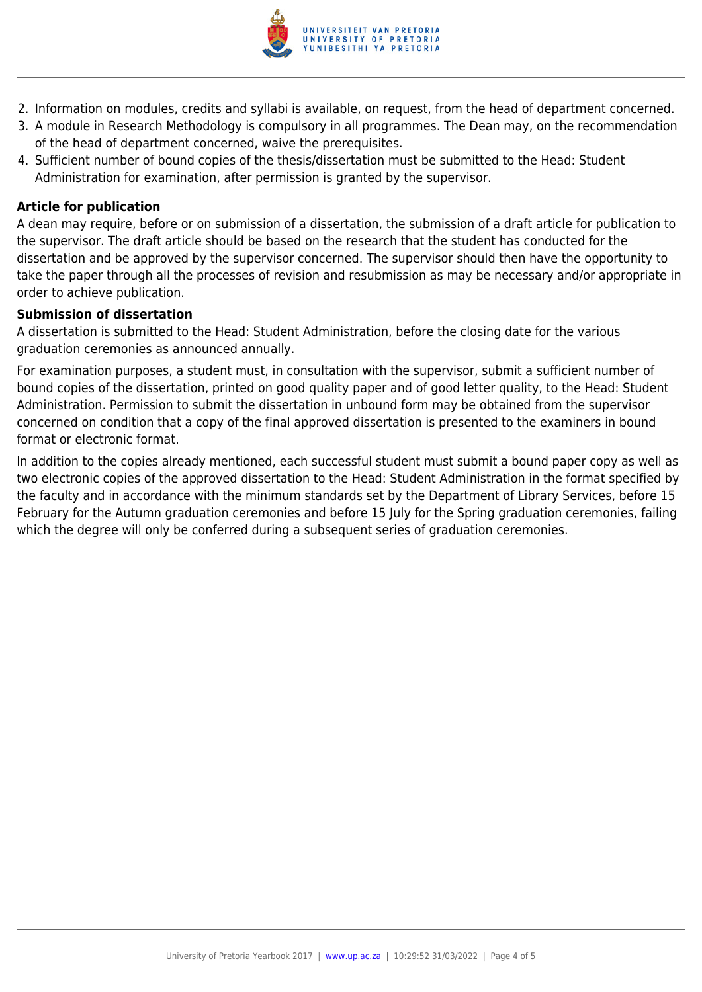

- 2. Information on modules, credits and syllabi is available, on request, from the head of department concerned.
- 3. A module in Research Methodology is compulsory in all programmes. The Dean may, on the recommendation of the head of department concerned, waive the prerequisites.
- 4. Sufficient number of bound copies of the thesis/dissertation must be submitted to the Head: Student Administration for examination, after permission is granted by the supervisor.

#### **Article for publication**

A dean may require, before or on submission of a dissertation, the submission of a draft article for publication to the supervisor. The draft article should be based on the research that the student has conducted for the dissertation and be approved by the supervisor concerned. The supervisor should then have the opportunity to take the paper through all the processes of revision and resubmission as may be necessary and/or appropriate in order to achieve publication.

#### **Submission of dissertation**

A dissertation is submitted to the Head: Student Administration, before the closing date for the various graduation ceremonies as announced annually.

For examination purposes, a student must, in consultation with the supervisor, submit a sufficient number of bound copies of the dissertation, printed on good quality paper and of good letter quality, to the Head: Student Administration. Permission to submit the dissertation in unbound form may be obtained from the supervisor concerned on condition that a copy of the final approved dissertation is presented to the examiners in bound format or electronic format.

In addition to the copies already mentioned, each successful student must submit a bound paper copy as well as two electronic copies of the approved dissertation to the Head: Student Administration in the format specified by the faculty and in accordance with the minimum standards set by the Department of Library Services, before 15 February for the Autumn graduation ceremonies and before 15 July for the Spring graduation ceremonies, failing which the degree will only be conferred during a subsequent series of graduation ceremonies.